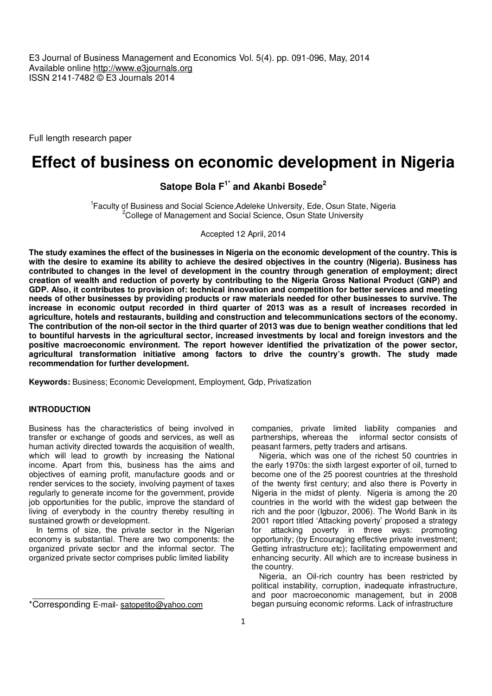E3 Journal of Business Management and Economics Vol. 5(4). pp. 091-096, May, 2014 Available online http://www.e3journals.org ISSN 2141-7482 © E3 Journals 2014

Full length research paper

# **Effect of business on economic development in Nigeria**

**Satope Bola F1\* and Akanbi Bosede<sup>2</sup>**

<sup>1</sup> Faculty of Business and Social Science, Adeleke University, Ede, Osun State, Nigeria <sup>2</sup>College of Management and Social Science, Osun State University

Accepted 12 April, 2014

**The study examines the effect of the businesses in Nigeria on the economic development of the country. This is with the desire to examine its ability to achieve the desired objectives in the country (Nigeria). Business has contributed to changes in the level of development in the country through generation of employment; direct creation of wealth and reduction of poverty by contributing to the Nigeria Gross National Product (GNP) and GDP. Also, it contributes to provision of: technical innovation and competition for better services and meeting needs of other businesses by providing products or raw materials needed for other businesses to survive. The increase in economic output recorded in third quarter of 2013 was as a result of increases recorded in agriculture, hotels and restaurants, building and construction and telecommunications sectors of the economy. The contribution of the non-oil sector in the third quarter of 2013 was due to benign weather conditions that led to bountiful harvests in the agricultural sector, increased investments by local and foreign investors and the positive macroeconomic environment. The report however identified the privatization of the power sector, agricultural transformation initiative among factors to drive the country's growth. The study made recommendation for further development.** 

**Keywords:** Business; Economic Development, Employment, Gdp, Privatization

# **INTRODUCTION**

Business has the characteristics of being involved in transfer or exchange of goods and services, as well as human activity directed towards the acquisition of wealth, which will lead to growth by increasing the National income. Apart from this, business has the aims and objectives of earning profit, manufacture goods and or render services to the society, involving payment of taxes regularly to generate income for the government, provide job opportunities for the public, improve the standard of living of everybody in the country thereby resulting in sustained growth or development.

In terms of size, the private sector in the Nigerian economy is substantial. There are two components: the organized private sector and the informal sector. The organized private sector comprises public limited liability

companies, private limited liability companies and partnerships, whereas the informal sector consists of peasant farmers, petty traders and artisans.

Nigeria, which was one of the richest 50 countries in the early 1970s: the sixth largest exporter of oil, turned to become one of the 25 poorest countries at the threshold of the twenty first century; and also there is Poverty in Nigeria in the midst of plenty. Nigeria is among the 20 countries in the world with the widest gap between the rich and the poor (Igbuzor, 2006). The World Bank in its 2001 report titled 'Attacking poverty' proposed a strategy for attacking poverty in three ways: promoting opportunity; (by Encouraging effective private investment; Getting infrastructure etc); facilitating empowerment and enhancing security. All which are to increase business in the country.

Nigeria, an Oil-rich country has been restricted by political instability, corruption, inadequate infrastructure, and poor macroeconomic management, but in 2008 began pursuing economic reforms. Lack of infrastructure

<sup>\*</sup>Corresponding E-mail- satopetito@yahoo.com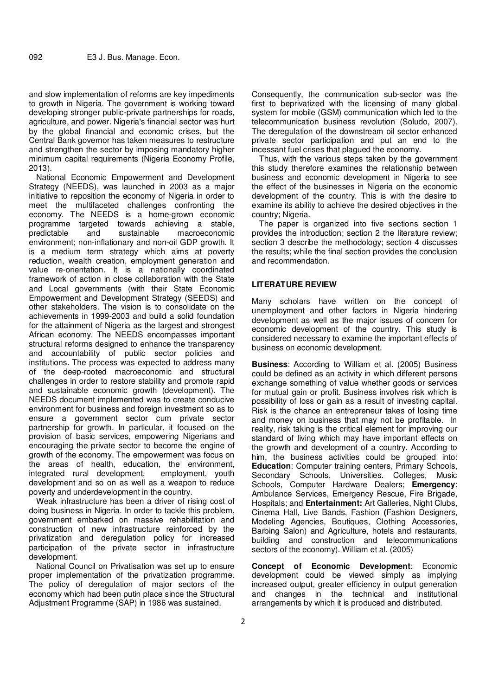and slow implementation of reforms are key impediments to growth in Nigeria. The government is working toward developing stronger public-private partnerships for roads, agriculture, and power. Nigeria's financial sector was hurt by the global financial and economic crises, but the Central Bank governor has taken measures to restructure and strengthen the sector by imposing mandatory higher minimum capital requirements (Nigeria Economy Profile, 2013).

National Economic Empowerment and Development Strategy (NEEDS), was launched in 2003 as a major initiative to reposition the economy of Nigeria in order to meet the multifaceted challenges confronting the economy. The NEEDS is a home-grown economic programme targeted towards achieving a stable, predictable and sustainable macroeconomic environment; non-inflationary and non-oil GDP growth. It is a medium term strategy which aims at poverty reduction, wealth creation, employment generation and value re-orientation. It is a nationally coordinated framework of action in close collaboration with the State and Local governments (with their State Economic Empowerment and Development Strategy (SEEDS) and other stakeholders. The vision is to consolidate on the achievements in 1999-2003 and build a solid foundation for the attainment of Nigeria as the largest and strongest African economy. The NEEDS encompasses important structural reforms designed to enhance the transparency and accountability of public sector policies and institutions. The process was expected to address many of the deep-rooted macroeconomic and structural challenges in order to restore stability and promote rapid and sustainable economic growth (development). The NEEDS document implemented was to create conducive environment for business and foreign investment so as to ensure a government sector cum private sector partnership for growth. In particular, it focused on the provision of basic services, empowering Nigerians and encouraging the private sector to become the engine of growth of the economy. The empowerment was focus on the areas of health, education, the environment, integrated rural development, employment, youth development and so on as well as a weapon to reduce poverty and underdevelopment in the country.

Weak infrastructure has been a driver of rising cost of doing business in Nigeria. In order to tackle this problem, government embarked on massive rehabilitation and construction of new infrastructure reinforced by the privatization and deregulation policy for increased participation of the private sector in infrastructure development.

National Council on Privatisation was set up to ensure proper implementation of the privatization programme. The policy of deregulation of major sectors of the economy which had been putin place since the Structural Adjustment Programme (SAP) in 1986 was sustained.

Consequently, the communication sub-sector was the first to beprivatized with the licensing of many global system for mobile (GSM) communication which led to the telecommunication business revolution (Soludo, 2007). The deregulation of the downstream oil sector enhanced private sector participation and put an end to the incessant fuel crises that plagued the economy.

Thus, with the various steps taken by the government this study therefore examines the relationship between business and economic development in Nigeria to see the effect of the businesses in Nigeria on the economic development of the country. This is with the desire to examine its ability to achieve the desired objectives in the country; Nigeria.

The paper is organized into five sections section 1 provides the introduction; section 2 the literature review; section 3 describe the methodology; section 4 discusses the results; while the final section provides the conclusion and recommendation.

#### **LITERATURE REVIEW**

Many scholars have written on the concept of unemployment and other factors in Nigeria hindering development as well as the major issues of concern for economic development of the country. This study is considered necessary to examine the important effects of business on economic development.

**Business**: According to William et al. (2005) Business could be defined as an activity in which different persons exchange something of value whether goods or services for mutual gain or profit. Business involves risk which is possibility of loss or gain as a result of investing capital. Risk is the chance an entrepreneur takes of losing time and money on business that may not be profitable. In reality, risk taking is the critical element for improving our standard of living which may have important effects on the growth and development of a country. According to him, the business activities could be grouped into: **Education**: Computer training centers, Primary Schools, Secondary Schools, Universities. Colleges, Music Schools, Computer Hardware Dealers; **Emergency**: Ambulance Services, Emergency Rescue, Fire Brigade, Hospitals; and **Entertainment:** Art Galleries, Night Clubs, Cinema Hall, Live Bands, Fashion **(**Fashion Designers, Modeling Agencies, Boutiques, Clothing Accessories, Barbing Salon) and Agriculture, hotels and restaurants, building and construction and telecommunications sectors of the economy). William et al. (2005)

**Concept of Economic Development**: Economic development could be viewed simply as implying increased output, greater efficiency in output generation and changes in the technical and institutional arrangements by which it is produced and distributed.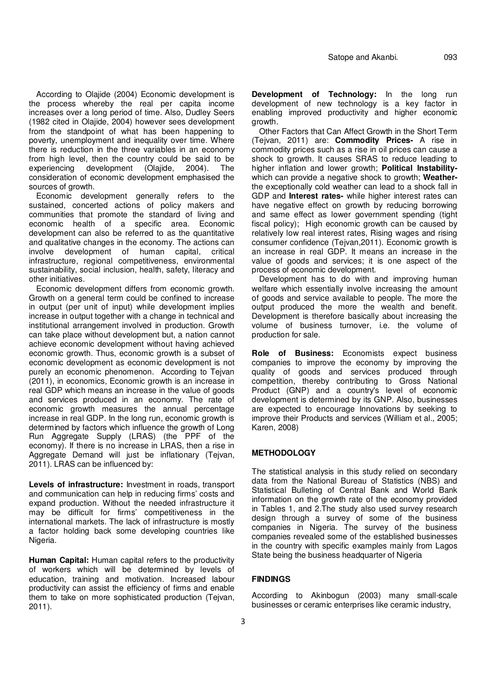According to Olajide (2004) Economic development is the process whereby the real per capita income increases over a long period of time. Also, Dudley Seers (1982 cited in Olajide, 2004) however sees development from the standpoint of what has been happening to poverty, unemployment and inequality over time. Where there is reduction in the three variables in an economy from high level, then the country could be said to be experiencing development (Olajide, 2004). The consideration of economic development emphasised the sources of growth.

Economic development generally refers to the sustained, concerted actions of policy makers and communities that promote the standard of living and economic health of a specific area. Economic development can also be referred to as the quantitative and qualitative changes in the economy. The actions can involve development of human capital, critical infrastructure, regional competitiveness, environmental sustainability, social inclusion, health, safety, literacy and other initiatives.

Economic development differs from economic growth. Growth on a general term could be confined to increase in output (per unit of input) while development implies increase in output together with a change in technical and institutional arrangement involved in production. Growth can take place without development but, a nation cannot achieve economic development without having achieved economic growth. Thus, economic growth is a subset of economic development as economic development is not purely an economic phenomenon. According to Tejvan (2011), in economics, Economic growth is an increase in real GDP which means an increase in the value of goods and services produced in an economy. The rate of economic growth measures the annual percentage increase in real GDP. In the long run, economic growth is determined by factors which influence the growth of Long Run Aggregate Supply (LRAS) (the PPF of the economy). If there is no increase in LRAS, then a rise in Aggregate Demand will just be inflationary (Tejvan, 2011). LRAS can be influenced by:

**Levels of infrastructure:** Investment in roads, transport and communication can help in reducing firms' costs and expand production. Without the needed infrastructure it may be difficult for firms' competitiveness in the international markets. The lack of infrastructure is mostly a factor holding back some developing countries like Nigeria.

**Human Capital:** Human capital refers to the productivity of workers which will be determined by levels of education, training and motivation. Increased labour productivity can assist the efficiency of firms and enable them to take on more sophisticated production (Tejvan, 2011).

**Development of Technology:** In the long run development of new technology is a key factor in enabling improved productivity and higher economic growth.

Other Factors that Can Affect Growth in the Short Term (Tejvan, 2011) are: **Commodity Prices-** A rise in commodity prices such as a rise in oil prices can cause a shock to growth. It causes SRAS to reduce leading to higher inflation and lower growth; **Political Instability**which can provide a negative shock to growth; **Weather**the exceptionally cold weather can lead to a shock fall in GDP and **Interest rates-** while higher interest rates can have negative effect on growth by reducing borrowing and same effect as lower government spending (tight fiscal policy); High economic growth can be caused by relatively low real interest rates, Rising wages and rising consumer confidence (Tejvan,2011). Economic growth is an increase in real GDP. It means an increase in the value of goods and services; it is one aspect of the process of economic development.

Development has to do with and improving human welfare which essentially involve increasing the amount of goods and service available to people. The more the output produced the more the wealth and benefit. Development is therefore basically about increasing the volume of business turnover, i.e. the volume of production for sale.

**Role of Business:** Economists expect business companies to improve the economy by improving the quality of goods and services produced through competition, thereby contributing to Gross National Product (GNP) and a country's level of economic development is determined by its GNP. Also, businesses are expected to encourage Innovations by seeking to improve their Products and services (William et al., 2005; Karen, 2008)

# **METHODOLOGY**

The statistical analysis in this study relied on secondary data from the National Bureau of Statistics (NBS) and Statistical Bulleting of Central Bank and World Bank information on the growth rate of the economy provided in Tables 1, and 2.The study also used survey research design through a survey of some of the business companies in Nigeria. The survey of the business companies revealed some of the established businesses in the country with specific examples mainly from Lagos State being the business headquarter of Nigeria

#### **FINDINGS**

According to Akinbogun (2003) many small-scale businesses or ceramic enterprises like ceramic industry,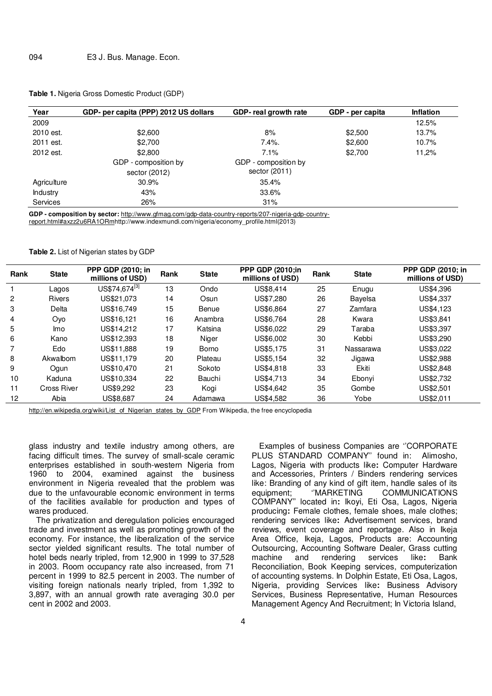| Year            | GDP- per capita (PPP) 2012 US dollars | GDP- real growth rate | GDP - per capita | <b>Inflation</b> |  |
|-----------------|---------------------------------------|-----------------------|------------------|------------------|--|
| 2009            |                                       |                       |                  | 12.5%            |  |
| 2010 est.       | \$2,600                               | 8%                    | \$2,500          | 13.7%            |  |
| 2011 est.       | \$2,700                               | $7.4\%$ .             | \$2,600          | 10.7%            |  |
| 2012 est.       | \$2,800                               | 7.1%                  | \$2,700          | 11,2%            |  |
|                 | GDP - composition by                  | GDP - composition by  |                  |                  |  |
|                 | sector (2012)                         | sector (2011)         |                  |                  |  |
| Agriculture     | 30.9%                                 | 35.4%                 |                  |                  |  |
| Industry        | 43%                                   | 33.6%                 |                  |                  |  |
| <b>Services</b> | 26%                                   | 31%                   |                  |                  |  |

**Table 1.** Nigeria Gross Domestic Product (GDP)

**GDP - composition by sector:** http://www.gfmag.com/gdp-data-country-reports/207-nigeria-gdp-countryreport.html#axzz2u6RA1ORmhttp://www.indexmundi.com/nigeria/economy\_profile.html(2013)

**Table 2.** List of Nigerian states by GDP

| Rank | <b>State</b>       | <b>PPP GDP (2010; in</b><br>millions of USD) | Rank | <b>State</b> | <b>PPP GDP (2010;in)</b><br>millions of USD) | Rank | <b>State</b> | PPP GDP (2010; in<br>millions of USD) |
|------|--------------------|----------------------------------------------|------|--------------|----------------------------------------------|------|--------------|---------------------------------------|
|      | Lagos              | US\$74,674 <sup>[3]</sup>                    | 13   | Ondo         | US\$8.414                                    | 25   | Enugu        | US\$4,396                             |
| 2    | <b>Rivers</b>      | US\$21.073                                   | 14   | Osun         | US\$7,280                                    | 26   | Bayelsa      | US\$4,337                             |
| 3    | Delta              | US\$16.749                                   | 15   | Benue        | US\$6,864                                    | 27   | Zamfara      | US\$4.123                             |
| 4    | Oyo                | US\$16.121                                   | 16   | Anambra      | US\$6.764                                    | 28   | Kwara        | US\$3,841                             |
| 5    | lmo                | US\$14,212                                   | 17   | Katsina      | US\$6.022                                    | 29   | Taraba       | US\$3,397                             |
| 6    | Kano               | US\$12.393                                   | 18   | Niger        | US\$6,002                                    | 30   | Kebbi        | US\$3,290                             |
| 7    | Edo                | US\$11,888                                   | 19   | <b>Borno</b> | US\$5.175                                    | 31   | Nassarawa    | US\$3,022                             |
| 8    | Akwalbom           | US\$11.179                                   | 20   | Plateau      | US\$5.154                                    | 32   | Jigawa       | US\$2,988                             |
| 9    | Oqun               | US\$10,470                                   | 21   | Sokoto       | US\$4,818                                    | 33   | Ekiti        | US\$2,848                             |
| 10   | Kaduna             | US\$10.334                                   | 22   | Bauchi       | US\$4.713                                    | 34   | Ebonyi       | US\$2,732                             |
| 11   | <b>Cross River</b> | US\$9.292                                    | 23   | Kogi         | US\$4,642                                    | 35   | Gombe        | US\$2,501                             |
| 12   | Abia               | US\$8,687                                    | 24   | Adamawa      | US\$4,582                                    | 36   | Yobe         | US\$2,011                             |

http://en.wikipedia.org/wiki/List\_of\_Nigerian\_states\_by\_GDP From Wikipedia, the free encyclopedia

glass industry and textile industry among others, are facing difficult times. The survey of small-scale ceramic enterprises established in south-western Nigeria from 1960 to 2004, examined against the business environment in Nigeria revealed that the problem was due to the unfavourable economic environment in terms of the facilities available for production and types of wares produced.

The privatization and deregulation policies encouraged trade and investment as well as promoting growth of the economy. For instance, the liberalization of the service sector yielded significant results. The total number of hotel beds nearly tripled, from 12,900 in 1999 to 37,528 in 2003. Room occupancy rate also increased, from 71 percent in 1999 to 82.5 percent in 2003. The number of visiting foreign nationals nearly tripled, from 1,392 to 3,897, with an annual growth rate averaging 30.0 per cent in 2002 and 2003.

Examples of business Companies are ''CORPORATE PLUS STANDARD COMPANY'' found in: Alimosho, Lagos, Nigeria with products like**:** Computer Hardware and Accessories, Printers / Binders rendering services like: Branding of any kind of gift item, handle sales of its equipment; "MARKETING COMMUNICATIONS COMPANY'' located in**:** Ikoyi, Eti Osa, Lagos, Nigeria producing**:** Female clothes, female shoes, male clothes; rendering services like**:** Advertisement services, brand reviews, event coverage and reportage. Also in Ikeja Area Office, Ikeja, Lagos, Products are: Accounting Outsourcing, Accounting Software Dealer, Grass cutting machine and rendering services like**:** Bank Reconciliation, Book Keeping services, computerization of accounting systems. In Dolphin Estate, Eti Osa, Lagos, Nigeria, providing Services like**:** Business Advisory Services, Business Representative, Human Resources Management Agency And Recruitment; In Victoria Island,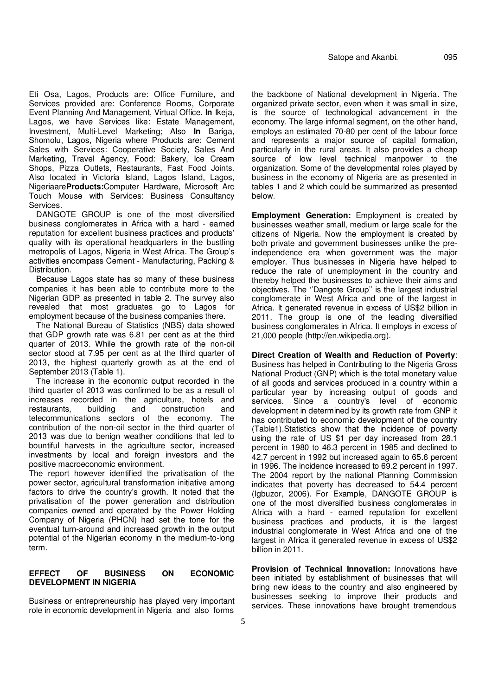Eti Osa, Lagos, Products are: Office Furniture, and Services provided are: Conference Rooms, Corporate Event Planning And Management, Virtual Office. **In** Ikeja, Lagos, we have Services like: Estate Management, Investment, Multi-Level Marketing; Also **In** Bariga, Shomolu, Lagos, Nigeria where Products are: Cement Sales with Services: Cooperative Society, Sales And Marketing, Travel Agency, Food: Bakery, Ice Cream Shops, Pizza Outlets, Restaurants, Fast Food Joints. Also located in Victoria Island, Lagos Island, Lagos, Nigeriaare**Products:**Computer Hardware, Microsoft Arc Touch Mouse with Services: Business Consultancy Services.

DANGOTE GROUP is one of the most diversified business conglomerates in Africa with a hard - earned reputation for excellent business practices and products' quality with its operational headquarters in the bustling metropolis of Lagos, Nigeria in West Africa. The Group's activities encompass Cement - Manufacturing, Packing & Distribution.

Because Lagos state has so many of these business companies it has been able to contribute more to the Nigerian GDP as presented in table 2. The survey also revealed that most graduates go to Lagos for employment because of the business companies there.

The National Bureau of Statistics (NBS) data showed that GDP growth rate was 6.81 per cent as at the third quarter of 2013. While the growth rate of the non-oil sector stood at 7.95 per cent as at the third quarter of 2013, the highest quarterly growth as at the end of September 2013 (Table 1).

The increase in the economic output recorded in the third quarter of 2013 was confirmed to be as a result of increases recorded in the agriculture, hotels and restaurants, building and construction and telecommunications sectors of the economy. The contribution of the non-oil sector in the third quarter of 2013 was due to benign weather conditions that led to bountiful harvests in the agriculture sector, increased investments by local and foreign investors and the positive macroeconomic environment.

The report however identified the privatisation of the power sector, agricultural transformation initiative among factors to drive the country's growth. It noted that the privatisation of the power generation and distribution companies owned and operated by the Power Holding Company of Nigeria (PHCN) had set the tone for the eventual turn-around and increased growth in the output potential of the Nigerian economy in the medium-to-long term.

# **EFFECT OF BUSINESS ON ECONOMIC DEVELOPMENT IN NIGERIA**

Business or entrepreneurship has played very important role in economic development in Nigeria and also forms

the backbone of National development in Nigeria. The organized private sector, even when it was small in size, is the source of technological advancement in the economy. The large informal segment, on the other hand, employs an estimated 70-80 per cent of the labour force and represents a major source of capital formation, particularly in the rural areas. It also provides a cheap source of low level technical manpower to the organization. Some of the developmental roles played by business in the economy of Nigeria are as presented in tables 1 and 2 which could be summarized as presented below.

**Employment Generation:** Employment is created by businesses weather small, medium or large scale for the citizens of Nigeria. Now the employment is created by both private and government businesses unlike the preindependence era when government was the major employer. Thus businesses in Nigeria have helped to reduce the rate of unemployment in the country and thereby helped the businesses to achieve their aims and objectives. The ''Dangote Group'' is the largest industrial conglomerate in West Africa and one of the largest in Africa. It generated revenue in excess of US\$2 billion in 2011. The group is one of the leading diversified business conglomerates in Africa. It employs in excess of 21,000 people (http://en.wikipedia.org).

**Direct Creation of Wealth and Reduction of Poverty**: Business has helped in Contributing to the Nigeria Gross National Product (GNP) which is the total monetary value of all goods and services produced in a country within a particular year by increasing output of goods and services. Since a country's level of economic development in determined by its growth rate from GNP it has contributed to economic development of the country (Table1).Statistics show that the incidence of poverty using the rate of US \$1 per day increased from 28.1 percent in 1980 to 46.3 percent in 1985 and declined to 42.7 percent in 1992 but increased again to 65.6 percent in 1996. The incidence increased to 69.2 percent in 1997. The 2004 report by the national Planning Commission indicates that poverty has decreased to 54.4 percent (Igbuzor, 2006). For Example, DANGOTE GROUP is one of the most diversified business conglomerates in Africa with a hard - earned reputation for excellent business practices and products, it is the largest industrial conglomerate in West Africa and one of the largest in Africa it generated revenue in excess of US\$2 billion in 2011.

**Provision of Technical Innovation:** Innovations have been initiated by establishment of businesses that will bring new ideas to the country and also engineered by businesses seeking to improve their products and services. These innovations have brought tremendous